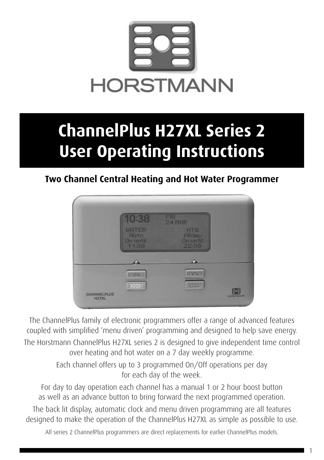

# **ChannelPlus H27XL Series 2 User Operating Instructions**

### **Two Channel Central Heating and Hot Water Programmer**



The ChannelPlus family of electronic programmers offer a range of advanced features coupled with simplified 'menu driven' programming and designed to help save energy. The Horstmann ChannelPlus H27XL series 2 is designed to give independent time control over heating and hot water on a 7 day weekly programme.

> Each channel offers up to 3 programmed On/Off operations per day for each day of the week.

For day to day operation each channel has a manual 1 or 2 hour boost button as well as an advance button to bring forward the next programmed operation.

The back lit display, automatic clock and menu driven programming are all features designed to make the operation of the ChannelPlus H27XL as simple as possible to use.

All series 2 ChannelPlus programmers are direct replacements for earlier ChannelPlus models.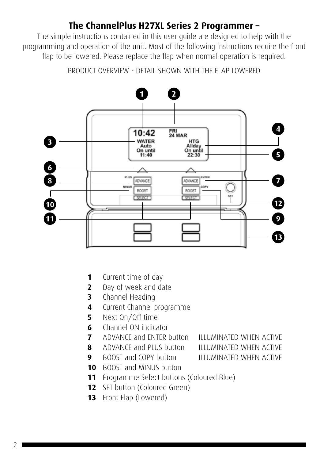### **The ChannelPlus H27XL Series 2 Programmer –**

The simple instructions contained in this user guide are designed to help with the programming and operation of the unit. Most of the following instructions require the front flap to be lowered. Please replace the flap when normal operation is required.

PRODUCT OVERVIEW - DETAIL SHOWN WITH THE FLAP LOWERED



- Current time of day
- Day of week and date
- Channel Heading
- Current Channel programme
- Next On/Off time
- Channel ON indicator
- ADVANCE and ENTER button ILLUMINATED WHEN ACTIVE
- ADVANCE and PLUS button ILLUMINATED WHEN ACTIVE

- 
- 
- BOOST and COPY button **ILLUMINATED WHEN ACTIVE**
- BOOST and MINUS button
- Programme Select buttons (Coloured Blue)
- SET button (Coloured Green)
- Front Flap (Lowered)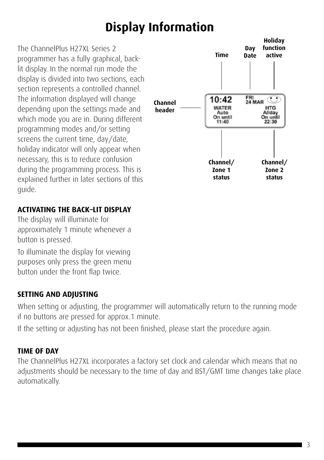### **Display Information**

The ChannelPlus H27XL Series 2 programmer has a fully graphical, backlit display. In the normal run mode the display is divided into two sections, each section represents a controlled channel. The information displayed will change depending upon the settings made and which mode you are in. During different programming modes and/or setting screens the current time, day/date, holiday indicator will only appear when necessary, this is to reduce confusion during the programming process. This is explained further in later sections of this guide.

#### **ACTIVATING THE BACK–LIT DISPLAY**

The display will illuminate for approximately 1 minute whenever a button is pressed.

To illuminate the display for viewing purposes only press the green menu button under the front flap twice.

### **SETTING AND ADJUSTING**

When setting or adjusting, the programmer will automatically return to the running mode if no buttons are pressed for approx.1 minute.

If the setting or adjusting has not been finished, please start the procedure again.

#### **TIME OF DAY**

The ChannelPlus H27XL incorporates a factory set clock and calendar which means that no adjustments should be necessary to the time of day and BST/GMT time changes take place automatically.

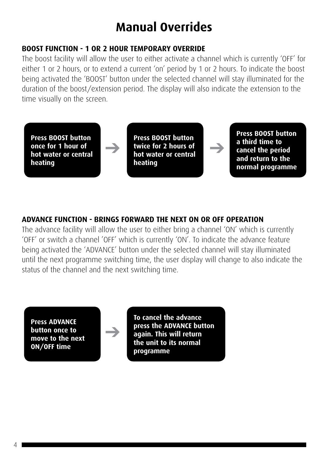### **Manual Overrides**

#### **BOOST FUNCTION - 1 OR 2 HOUR TEMPORARY OVERRIDE**

 $\rightarrow$ 

The boost facility will allow the user to either activate a channel which is currently 'OFF' for either 1 or 2 hours, or to extend a current 'on' period by 1 or 2 hours. To indicate the boost being activated the 'BOOST' button under the selected channel will stay illuminated for the duration of the boost/extension period. The display will also indicate the extension to the time visually on the screen.

**Press BOOST button once for 1 hour of hot water or central heating**

**Press BOOST button twice for 2 hours of hot water or central heating**

 $\rightarrow$ 

**Press BOOST button a third time to cancel the period and return to the normal programme**

#### **ADVANCE FUNCTION - BRINGS FORWARD THE NEXT ON OR OFF OPERATION**

The advance facility will allow the user to either bring a channel 'ON' which is currently 'OFF' or switch a channel 'OFF' which is currently 'ON'. To indicate the advance feature being activated the 'ADVANCE' button under the selected channel will stay illuminated until the next programme switching time, the user display will change to also indicate the status of the channel and the next switching time.

**Press ADVANCE button once to move to the next ON/OFF time**

 $\rightarrow$ 

**To cancel the advance press the ADVANCE button again. This will return the unit to its normal programme**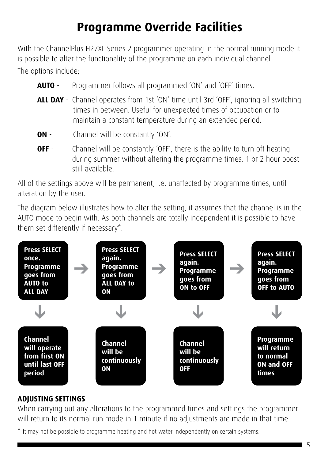### **Programme Override Facilities**

With the ChannelPlus H27XL Series 2 programmer operating in the normal running mode it is possible to alter the functionality of the programme on each individual channel. The options include;

- **AUTO** Programmer follows all programmed 'ON' and 'OFF' times.
- **ALL DAY** Channel operates from 1st 'ON' time until 3rd 'OFF', ignoring all switching times in between. Useful for unexpected times of occupation or to maintain a constant temperature during an extended period.
- **ON** Channel will be constantly 'ON'.
- **OFF** Channel will be constantly 'OFF', there is the ability to turn off heating during summer without altering the programme times. 1 or 2 hour boost still available.

All of the settings above will be permanent, i.e. unaffected by programme times, until alteration by the user.

The diagram below illustrates how to alter the setting, it assumes that the channel is in the AUTO mode to begin with. As both channels are totally independent it is possible to have them set differently if necessary\*.



#### **ADJUSTING SETTINGS**

When carrying out any alterations to the programmed times and settings the programmer will return to its normal run mode in 1 minute if no adjustments are made in that time.

It may not be possible to programme heating and hot water independently on certain systems.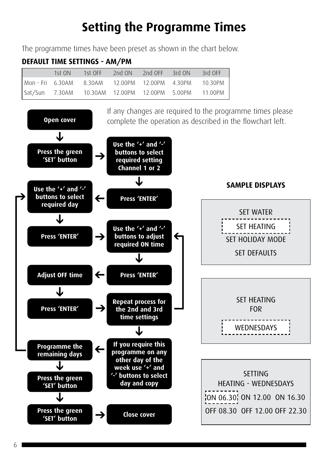### **Setting the Programme Times**

The programme times have been preset as shown in the chart below.

### **Default Time settings - am/PM**

| 1st $ON$ | 1st OFF                                                      | 2nd ON | 2nd OFF 3rd ON | 3rd OFF |
|----------|--------------------------------------------------------------|--------|----------------|---------|
|          | l Mon - Fri - 6.30AM - 8.30AM - 12.00PM - 12.00PM - 4.30PM - |        |                | 10.30PM |
|          | Sat/Sun 7.30AM 10.30AM 12.00PM 12.00PM 5.00PM                |        |                | 11.00PM |

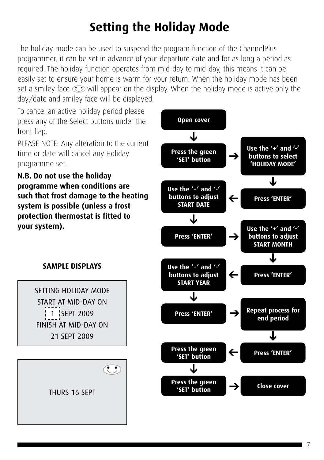# **Setting the Holiday Mode**

The holiday mode can be used to suspend the program function of the ChannelPlus programmer, it can be set in advance of your departure date and for as long a period as required. The holiday function operates from mid-day to mid-day, this means it can be easily set to ensure your home is warm for your return. When the holiday mode has been set a smiley face  $\odot$  will appear on the display. When the holiday mode is active only the day/date and smiley face will be displayed.

To cancel an active holiday period please press any of the Select buttons under the front flap.

PLEASE NOTE: Any alteration to the current time or date will cancel any Holiday programme set.

**N.B. Do not use the holiday programme when conditions are such that frost damage to the heating system is possible (unless a frost protection thermostat is fitted to your system).**



#### **SAMPLE DISPLAYS**

SETTING HOLIDAY MODE START AT MID-DAY ON 1 SEPT 2009 FINISH AT MID-DAY ON 21 SEPT 2009

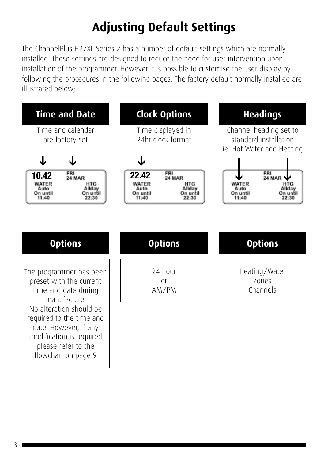# **Adjusting Default Settings**

The ChannelPlus H27XL Series 2 has a number of default settings which are normally installed. These settings are designed to reduce the need for user intervention upon installation of the programmer. However it is possible to customise the user display by following the procedures in the following pages. The factory default normally installed are illustrated below;

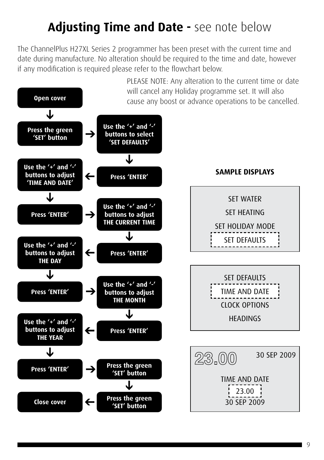# **Adjusting Time and Date -** see note below

The ChannelPlus H27XL Series 2 programmer has been preset with the current time and date during manufacture. No alteration should be required to the time and date, however if any modification is required please refer to the flowchart below.

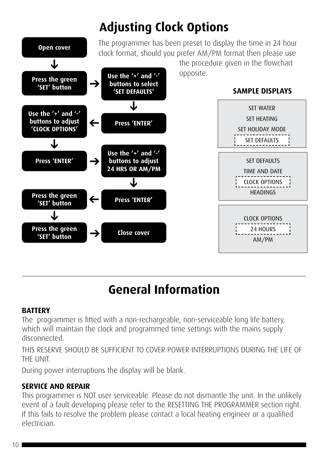

# **General Information**

### **BATTERY**

The programmer is fitted with a non-rechargeable, non-serviceable long life battery, which will maintain the clock and programmed time settings with the mains supply disconnected.

THIS RESERVE SHOULD BE SUFFICIENT TO COVER POWER INTERRUPTIONS DURING THE LIFE OF THE UNIT.

During power interruptions the display will be blank.

### **SERVICE AND REPAIR**

This programmer is NOT user serviceable. Please do not dismantle the unit. In the unlikely event of a fault developing please refer to the RESETTING THE PROGRAMMER section right. If this fails to resolve the problem please contact a local heating engineer or a qualified electrician.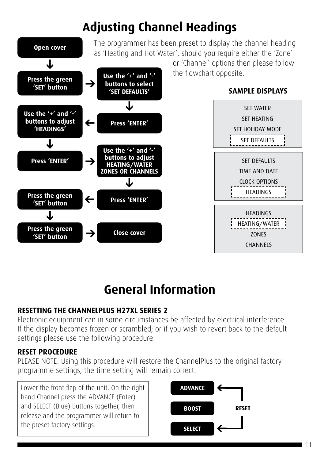# **Adjusting Channel Headings**



### **General Information**

### **RESETTING THE CHANNELPLUS H27XL SERIES 2**

Electronic equipment can in some circumstances be affected by electrical interference. If the display becomes frozen or scrambled; or if you wish to revert back to the default settings please use the following procedure:

### **RESET PROCEDURE**

PLEASE NOTE: Using this procedure will restore the ChannelPlus to the original factory programme settings, the time setting will remain correct.

Lower the front flap of the unit. On the right hand Channel press the ADVANCE (Enter) and SELECT (Blue) buttons together, then release and the programmer will return to the preset factory settings.